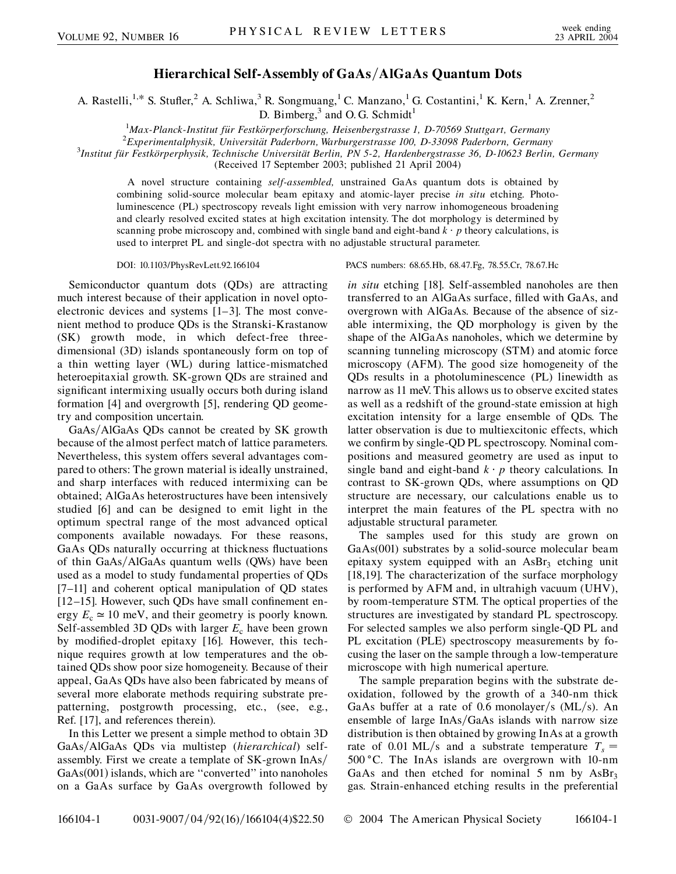## **Hierarchical Self-Assembly of GaAs/AlGaAs Quantum Dots**

A. Rastelli,<sup>1,\*</sup> S. Stufler,<sup>2</sup> A. Schliwa,<sup>3</sup> R. Songmuang,<sup>1</sup> C. Manzano,<sup>1</sup> G. Costantini,<sup>1</sup> K. Kern,<sup>1</sup> A. Zrenner,<sup>2</sup> D. Bimberg, $3$  and O. G. Schmidt<sup>1</sup>

<sup>1</sup>Max-Planck-Institut für Festkörperforschung, Heisenbergstrasse 1, D-70569 Stuttgart, Germany<br><sup>2</sup> Experimentalphysik, Universität Paderborn, Warburgerstrasse 100, D, 33008 Paderborn, Germany

<sup>2</sup> Experimentalphysik, Universität Paderborn, Warburgerstrasse 100, D-33098 Paderborn, Germany

*Institut fu¨r Festko¨rperphysik, Technische Universita¨t Berlin, PN 5-2, Hardenbergstrasse 36, D-10623 Berlin, Germany*

(Received 17 September 2003; published 21 April 2004)

A novel structure containing *self-assembled,* unstrained GaAs quantum dots is obtained by combining solid-source molecular beam epitaxy and atomic-layer precise *in situ* etching. Photoluminescence (PL) spectroscopy reveals light emission with very narrow inhomogeneous broadening and clearly resolved excited states at high excitation intensity. The dot morphology is determined by scanning probe microscopy and, combined with single band and eight-band  $k \cdot p$  theory calculations, is used to interpret PL and single-dot spectra with no adjustable structural parameter.

Semiconductor quantum dots (QDs) are attracting much interest because of their application in novel optoelectronic devices and systems [1–3]. The most convenient method to produce QDs is the Stranski-Krastanow (SK) growth mode, in which defect-free threedimensional (3D) islands spontaneously form on top of a thin wetting layer (WL) during lattice-mismatched heteroepitaxial growth. SK-grown QDs are strained and significant intermixing usually occurs both during island formation [4] and overgrowth [5], rendering QD geometry and composition uncertain.

GaAs/AlGaAs QDs cannot be created by SK growth because of the almost perfect match of lattice parameters. Nevertheless, this system offers several advantages compared to others: The grown material is ideally unstrained, and sharp interfaces with reduced intermixing can be obtained; AlGaAs heterostructures have been intensively studied [6] and can be designed to emit light in the optimum spectral range of the most advanced optical components available nowadays. For these reasons, GaAs QDs naturally occurring at thickness fluctuations of thin GaAs/AlGaAs quantum wells (QWs) have been used as a model to study fundamental properties of QDs [7–11] and coherent optical manipulation of QD states [12–15]. However, such QDs have small confinement energy  $E_c \approx 10$  meV, and their geometry is poorly known. Self-assembled 3D QDs with larger  $E_c$  have been grown by modified-droplet epitaxy [16]. However, this technique requires growth at low temperatures and the obtained QDs show poor size homogeneity. Because of their appeal, GaAs QDs have also been fabricated by means of several more elaborate methods requiring substrate prepatterning, postgrowth processing, etc., (see, e.g., Ref. [17], and references therein).

In this Letter we present a simple method to obtain 3D GaAs/AlGaAs QDs via multistep (hierarchical) selfassembly. First we create a template of SK-grown InAs<sup> $/$ </sup>  $GaAs(001)$  islands, which are "converted" into nanoholes on a GaAs surface by GaAs overgrowth followed by

DOI: 10.1103/PhysRevLett.92.166104 PACS numbers: 68.65.Hb, 68.47.Fg, 78.55.Cr, 78.67.Hc

*in situ* etching [18]. Self-assembled nanoholes are then transferred to an AlGaAs surface, filled with GaAs, and overgrown with AlGaAs. Because of the absence of sizable intermixing, the QD morphology is given by the shape of the AlGaAs nanoholes, which we determine by scanning tunneling microscopy (STM) and atomic force microscopy (AFM). The good size homogeneity of the QDs results in a photoluminescence (PL) linewidth as narrow as 11 meV. This allows us to observe excited states as well as a redshift of the ground-state emission at high excitation intensity for a large ensemble of QDs. The latter observation is due to multiexcitonic effects, which we confirm by single-QD PL spectroscopy. Nominal compositions and measured geometry are used as input to single band and eight-band  $k \cdot p$  theory calculations. In contrast to SK-grown QDs, where assumptions on QD structure are necessary, our calculations enable us to interpret the main features of the PL spectra with no adjustable structural parameter.

The samples used for this study are grown on GaAs(001) substrates by a solid-source molecular beam epitaxy system equipped with an  $\text{AsBr}_3$  etching unit [18,19]. The characterization of the surface morphology is performed by AFM and, in ultrahigh vacuum (UHV), by room-temperature STM. The optical properties of the structures are investigated by standard PL spectroscopy. For selected samples we also perform single-QD PL and PL excitation (PLE) spectroscopy measurements by focusing the laser on the sample through a low-temperature microscope with high numerical aperture.

The sample preparation begins with the substrate deoxidation, followed by the growth of a 340-nm thick GaAs buffer at a rate of 0.6 monolayer/s (ML/s). An ensemble of large InAs/GaAs islands with narrow size distribution is then obtained by growing InAs at a growth rate of 0.01 ML/s and a substrate temperature  $T_s =$ 500 C. The InAs islands are overgrown with 10-nm GaAs and then etched for nominal 5 nm by  $\text{AsBr}_3$ gas. Strain-enhanced etching results in the preferential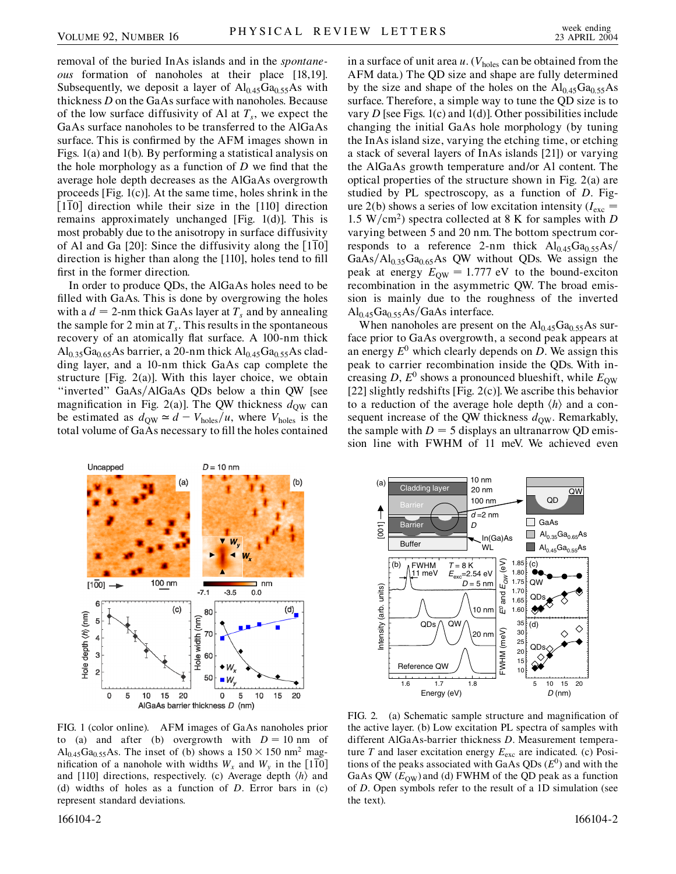removal of the buried InAs islands and in the *spontaneous* formation of nanoholes at their place [18,19]. Subsequently, we deposit a layer of  $Al<sub>0.45</sub>Ga<sub>0.55</sub>As with$ thickness *D* on the GaAs surface with nanoholes. Because of the low surface diffusivity of Al at  $T_s$ , we expect the GaAs surface nanoholes to be transferred to the AlGaAs surface. This is confirmed by the AFM images shown in Figs. 1(a) and 1(b). By performing a statistical analysis on the hole morphology as a function of *D* we find that the average hole depth decreases as the AlGaAs overgrowth proceeds [Fig. 1(c)]. At the same time, holes shrink in the [110] direction while their size in the [110] direction remains approximately unchanged [Fig. 1(d)]. This is most probably due to the anisotropy in surface diffusivity of Al and Ga  $[20]$ : Since the diffusivity along the  $[110]$ direction is higher than along the [110], holes tend to fill first in the former direction.

In order to produce QDs, the AlGaAs holes need to be filled with GaAs. This is done by overgrowing the holes with a  $d = 2$ -nm thick GaAs layer at  $T_s$  and by annealing the sample for 2 min at  $T_s$ . This results in the spontaneous recovery of an atomically flat surface. A 100-nm thick Al<sub>0.35</sub>Ga<sub>0.65</sub>As barrier, a 20-nm thick  $Al_{0.45}Ga_{0.55}As$  cladding layer, and a 10-nm thick GaAs cap complete the structure [Fig.  $2(a)$ ]. With this layer choice, we obtain "inverted" GaAs/AlGaAs QDs below a thin QW [see magnification in Fig. 2(a)]. The QW thickness  $d_{\text{QW}}$  can be estimated as  $d_{\text{QW}} \simeq d - V_{\text{holes}}/u$ , where  $V_{\text{holes}}$  is the total volume of GaAs necessary to fill the holes contained in a surface of unit area  $u$ . ( $V_{\text{holes}}$  can be obtained from the AFM data.) The QD size and shape are fully determined by the size and shape of the holes on the  $Al_{0.45}Ga_{0.55}As$ surface. Therefore, a simple way to tune the QD size is to vary *D* [see Figs. 1(c) and 1(d)]. Other possibilities include changing the initial GaAs hole morphology (by tuning the InAs island size, varying the etching time, or etching a stack of several layers of InAs islands [21]) or varying the AlGaAs growth temperature and/or Al content. The optical properties of the structure shown in Fig. 2(a) are studied by PL spectroscopy, as a function of *D*. Figure 2(b) shows a series of low excitation intensity  $(I_{\text{exc}} =$ 1.5 W/cm<sup>2</sup>) spectra collected at 8 K for samples with *D* varying between 5 and 20 nm. The bottom spectrum corresponds to a reference 2-nm thick  $Al_{0.45}Ga_{0.55}As/$  $GaAs/Al<sub>0.35</sub>Ga<sub>0.65</sub>As QW without QDs. We assign the$ peak at energy  $E_{\text{OW}} = 1.777 \text{ eV}$  to the bound-exciton recombination in the asymmetric QW. The broad emission is mainly due to the roughness of the inverted Al<sub>0.45</sub>Ga<sub>0.55</sub>As/GaAs interface.

When nanoholes are present on the  $Al_{0.45}Ga_{0.55}As$  surface prior to GaAs overgrowth, a second peak appears at an energy  $E^0$  which clearly depends on *D*. We assign this peak to carrier recombination inside the QDs. With increasing *D*,  $E^0$  shows a pronounced blueshift, while  $E_{\text{QW}}$ [22] slightly redshifts [Fig. 2(c)].We ascribe this behavior to a reduction of the average hole depth  $\langle h \rangle$  and a consequent increase of the QW thickness  $d_{\text{OW}}$ . Remarkably, the sample with  $D = 5$  displays an ultranarrow QD emission line with FWHM of 11 meV. We achieved even



FIG. 1 (color online). AFM images of GaAs nanoholes prior to (a) and after (b) overgrowth with  $D = 10$  nm of  $\text{Al}_{0.45}\text{Ga}_{0.55}\text{As}$ . The inset of (b) shows a  $150 \times 150 \text{ nm}^2$  magnification of a nanohole with widths  $W_x$  and  $W_y$  in the [110] and [110] directions, respectively. (c) Average depth  $\langle h \rangle$  and (d) widths of holes as a function of *D*. Error bars in (c) represent standard deviations.



FIG. 2. (a) Schematic sample structure and magnification of the active layer. (b) Low excitation PL spectra of samples with different AlGaAs-barrier thickness *D*. Measurement temperature  $T$  and laser excitation energy  $E_{\text{exc}}$  are indicated. (c) Positions of the peaks associated with GaAs  $QDs(E^0)$  and with the GaAs QW  $(E_{\text{OW}})$  and (d) FWHM of the QD peak as a function of *D*. Open symbols refer to the result of a 1D simulation (see the text).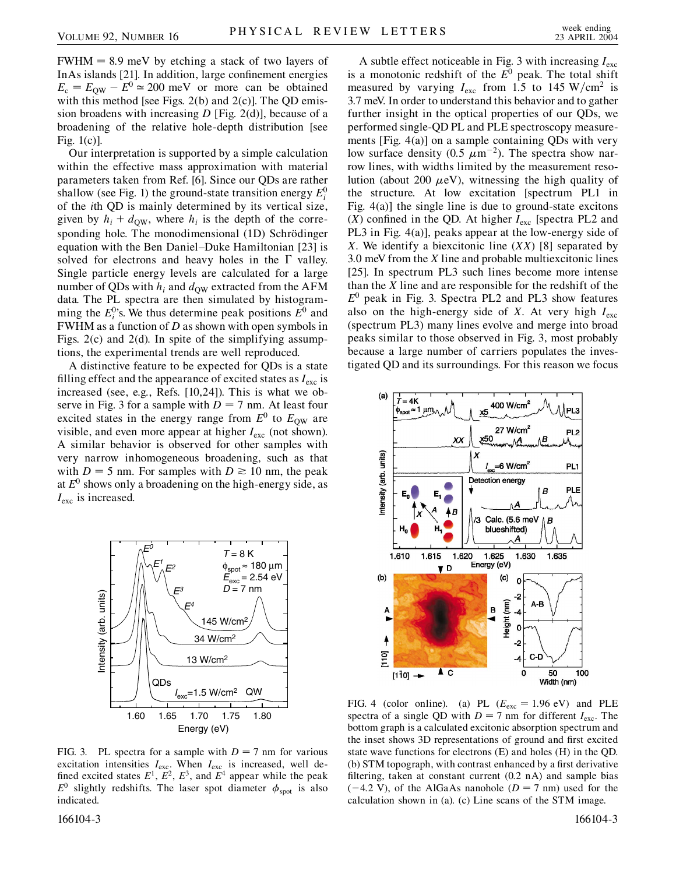$FWHM = 8.9$  meV by etching a stack of two layers of InAs islands [21]. In addition, large confinement energies  $E_c = E_{\text{OW}} - E^0 \approx 200 \text{ meV}$  or more can be obtained with this method [see Figs.  $2(b)$  and  $2(c)$ ]. The QD emission broadens with increasing *D* [Fig. 2(d)], because of a broadening of the relative hole-depth distribution [see Fig. 1(c)].

Our interpretation is supported by a simple calculation within the effective mass approximation with material parameters taken from Ref. [6]. Since our QDs are rather shallow (see Fig. 1) the ground-state transition energy  $E_i^0$ of the *i*th QD is mainly determined by its vertical size, given by  $h_i + d_{\text{OW}}$ , where  $h_i$  is the depth of the corresponding hole. The monodimensional (1D) Schrödinger equation with the Ben Daniel–Duke Hamiltonian [23] is solved for electrons and heavy holes in the  $\Gamma$  valley. Single particle energy levels are calculated for a large number of QDs with  $h_i$  and  $d_{\text{OW}}$  extracted from the AFM data. The PL spectra are then simulated by histogramming the  $E_i^0$ 's. We thus determine peak positions  $E^0$  and FWHM as a function of *D* as shown with open symbols in Figs. 2(c) and 2(d). In spite of the simplifying assumptions, the experimental trends are well reproduced.

A distinctive feature to be expected for QDs is a state filling effect and the appearance of excited states as *I*exc is increased (see, e.g., Refs. [10,24]). This is what we observe in Fig. 3 for a sample with  $D = 7$  nm. At least four excited states in the energy range from  $E^0$  to  $E_{\text{OW}}$  are visible, and even more appear at higher  $I_{\text{exc}}$  (not shown). A similar behavior is observed for other samples with very narrow inhomogeneous broadening, such as that with  $D = 5$  nm. For samples with  $D \ge 10$  nm, the peak at  $E^0$  shows only a broadening on the high-energy side, as *I*exc is increased.



FIG. 3. PL spectra for a sample with  $D = 7$  nm for various excitation intensities  $I_{\text{exc}}$ . When  $I_{\text{exc}}$  is increased, well defined excited states  $E^1$ ,  $E^2$ ,  $E^3$ , and  $E^4$  appear while the peak  $E^0$  slightly redshifts. The laser spot diameter  $\phi_{\text{spot}}$  is also indicated.

166104-3 166104-3

A subtle effect noticeable in Fig. 3 with increasing *I*exc is a monotonic redshift of the  $E^0$  peak. The total shift measured by varying  $I_{\text{exc}}$  from 1.5 to 145 W/cm<sup>2</sup> is 3.7 meV. In order to understand this behavior and to gather further insight in the optical properties of our QDs, we performed single-QD PL and PLE spectroscopy measurements [Fig. 4(a)] on a sample containing QDs with very low surface density  $(0.5 \ \mu m^{-2})$ . The spectra show narrow lines, with widths limited by the measurement resolution (about 200  $\mu$ eV), witnessing the high quality of the structure. At low excitation [spectrum PL1 in Fig. 4(a)] the single line is due to ground-state excitons  $(X)$  confined in the QD. At higher  $I_{\text{exc}}$  [spectra PL2 and PL3 in Fig. 4(a)], peaks appear at the low-energy side of *X*. We identify a biexcitonic line (*XX*) [8] separated by 3.0 meV from the *X* line and probable multiexcitonic lines [25]. In spectrum PL3 such lines become more intense than the *X* line and are responsible for the redshift of the *E*<sup>0</sup> peak in Fig. 3. Spectra PL2 and PL3 show features also on the high-energy side of *X*. At very high  $I_{\text{exc}}$ (spectrum PL3) many lines evolve and merge into broad peaks similar to those observed in Fig. 3, most probably because a large number of carriers populates the investigated QD and its surroundings. For this reason we focus



FIG. 4 (color online). (a) PL  $(E_{\text{exc}} = 1.96 \text{ eV})$  and PLE spectra of a single QD with  $D = 7$  nm for different  $I_{\text{exc}}$ . The bottom graph is a calculated excitonic absorption spectrum and the inset shows 3D representations of ground and first excited state wave functions for electrons (E) and holes (H) in the QD. (b) STM topograph, with contrast enhanced by a first derivative filtering, taken at constant current (0.2 nA) and sample bias  $(-4.2 \text{ V})$ , of the AlGaAs nanohole ( $D = 7 \text{ nm}$ ) used for the calculation shown in (a). (c) Line scans of the STM image.